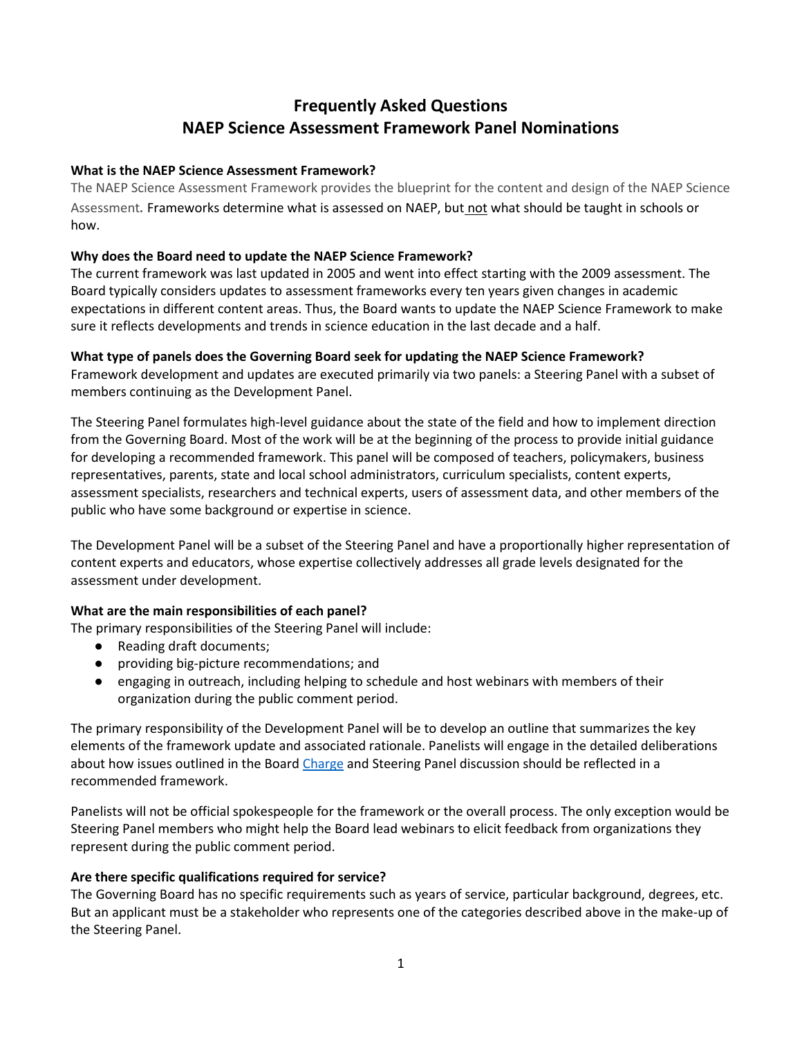# **Frequently Asked Questions NAEP Science Assessment Framework Panel Nominations**

## **What is the NAEP Science Assessment Framework?**

The NAEP Science Assessment Framework provides the blueprint for the content and design of the NAEP Science Assessment. Frameworks determine what is assessed on NAEP, but not what should be taught in schools or how.

# **Why does the Board need to update the NAEP Science Framework?**

The current framework was last updated in 2005 and went into effect starting with the 2009 assessment. The Board typically considers updates to assessment frameworks every ten years given changes in academic expectations in different content areas. Thus, the Board wants to update the NAEP Science Framework to make sure it reflects developments and trends in science education in the last decade and a half.

# **What type of panels does the Governing Board seek for updating the NAEP Science Framework?**

Framework development and updates are executed primarily via two panels: a Steering Panel with a subset of members continuing as the Development Panel.

The Steering Panel formulates high-level guidance about the state of the field and how to implement direction from the Governing Board. Most of the work will be at the beginning of the process to provide initial guidance for developing a recommended framework. This panel will be composed of teachers, policymakers, business representatives, parents, state and local school administrators, curriculum specialists, content experts, assessment specialists, researchers and technical experts, users of assessment data, and other members of the public who have some background or expertise in science.

The Development Panel will be a subset of the Steering Panel and have a proportionally higher representation of content experts and educators, whose expertise collectively addresses all grade levels designated for the assessment under development.

## **What are the main responsibilities of each panel?**

The primary responsibilities of the Steering Panel will include:

- Reading draft documents;
- providing big-picture recommendations; and
- engaging in outreach, including helping to schedule and host webinars with members of their organization during the public comment period.

The primary responsibility of the Development Panel will be to develop an outline that summarizes the key elements of the framework update and associated rationale. Panelists will engage in the detailed deliberations about how issues outlined in the Board [Charge](https://www.nagb.gov/content/dam/nagb/en/documents/policies/naep-science-framework-charge-051222.pdf) and Steering Panel discussion should be reflected in a recommended framework.

Panelists will not be official spokespeople for the framework or the overall process. The only exception would be Steering Panel members who might help the Board lead webinars to elicit feedback from organizations they represent during the public comment period.

## **Are there specific qualifications required for service?**

The Governing Board has no specific requirements such as years of service, particular background, degrees, etc. But an applicant must be a stakeholder who represents one of the categories described above in the make-up of the Steering Panel.